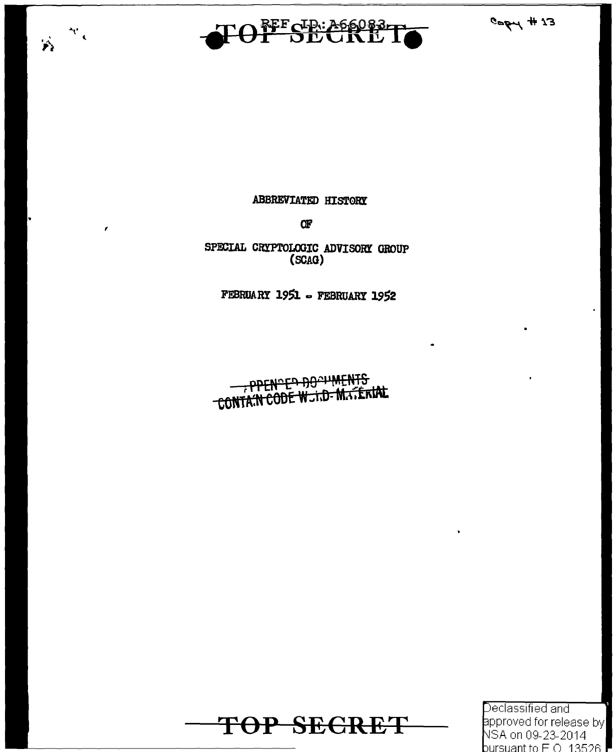



 $\mathcal{M}_{\mathcal{C}}$ 

 $\mathbf{r}$ 

 $\mathbf{r}_1$ 

#### **ABBREVIATED HISTORY**

Œ

SPECIAL CRYPTOLOGIC ADVISORY GROUP (SCAG)

FEBRUARY 1951 - FEBRUARY 1952

PPENDED DOCUMENTS



Declassified and approved for release by NSA on 09-23-2014 <code>bursuant</code> to F O  $\,$  13526  $\mathsf F\,$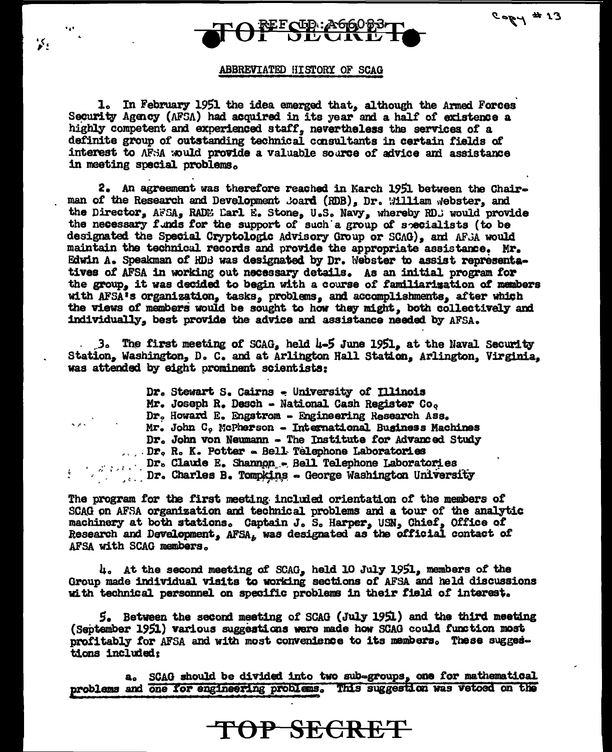

 $21$  #  $190$ 

#### ABBREVIATED HISTORY OF SCAG

 $\cdot$ 

1. In February 1951 the idea emerged that, although the Armed Forces Security Agency (AFSA) had acquired in its year and a half of existence a highly competent and experienced staff, nevertheless the services of a definite group of outstanding technical consultants in certain fields of interest to AFSA would provide a valuable source of advice and assistance in meeting special problems.

2. An agreement was therefore reached in March 1951 between the Chairman of the Research and Development Joard (RDB), Dr. William Webster, and the Director, AFSA, RADM Larl E. Stone, U.S. Navy, whereby RD. would provide the necessary funds for the support of such a group of specialists (to be designated the Special Cryptologic Advisory Group or SCAG), and AFSA would maintain the technical records and provide the appropriate assistance. Mr. Edwin A. Speakman of RDB was designated by Dr. Webster to assist representatives of AFSA in working out necessary details. As an initial program for the group, it was decided to begin with a course of familiarization of members with AFSA's organization, tasks, problems, and accomplishments, after which the views of members would be sought to how they might, both collectively and individually, best provide the advice and assistance needed by AFSA.

 $3.$  The first meeting of SCAG, held 4-5 June 1951, at the Naval Security Station, Washington, D. C. and at Arlington Hall Station, Arlington, Virginia, was attended by eight prominent scientists:

|                | Dr. Stewart S. Cairns - University of Illinois                                                                |
|----------------|---------------------------------------------------------------------------------------------------------------|
|                | Mr. Joseph R. Desch - National Cash Register Co.                                                              |
|                | Dr. Howard E. Engstrom - Engineering Research Ass.                                                            |
| <b>Service</b> | Mr. John C. McPherson - International Business Machines                                                       |
|                | Dr. John von Neumann - The Institute for Advanced Study                                                       |
|                | Dr. R. K. Potter - Bell Telephone Laboratories                                                                |
|                |                                                                                                               |
|                | Dr. Claude E. Shannon - Bell Telephone Laboratories<br>Dr. Charles B. Tomokins - George Washington University |

The program for the first meeting included orientation of the members of SCAG on AFSA organization and technical problems and a tour of the analytic machinery at both stations. Captain J. S. Harper, USN, Chief, Office of Research and Development, AFSA. was designated as the official contact of AFSA with SCAG members.

4. At the second meeting of SCAG, held 10 July 1951, members of the Group made individual visits to working sections of AFSA and held discussions with technical personnel on specific problems in their field of interest.

5. Between the second meeting of SCAG (July 1951) and the third meeting (September 1951) various suggestions were made how SCAG could function most profitably for AFSA and with most convenience to its members. These suggestions included:

a. SCAG should be divided into two sub-groups, one for mathematical problems and one for engineering problems. This suggestion was vetoed on the

TOP SECRET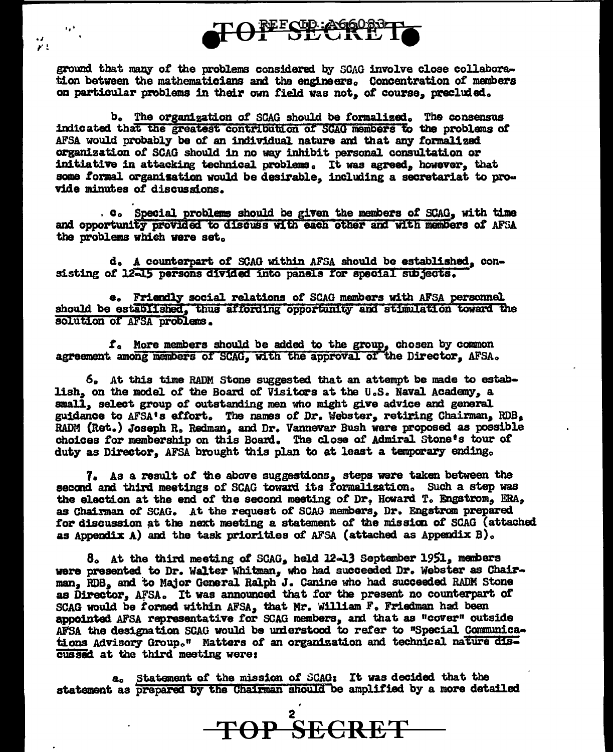REFOLD: A66063-

ground that many of the problems considered by SCAG involve close collaboration between the mathematicians and the engineers. Concentration of members on particular problems in their own field was not, of course, precluded.

د رو

 $\mathbf{y}$  .

b. The organization of SCAG should be formalized. The consensus indicated that the greatest contribution of SCAG members to the problems of AFSA would probably be of an individual nature and that any formalized organization of SCAG should in no way inhibit personal consultation or initiative in attacking technical problems. It was agreed, however, that some formal organization would be desirable, including a secretariat to provide minutes of discussions.

. C. Special problems should be given the members of SCAG, with time and opportunity provided to discuss with each other and with members of AFSA the problems which were set.

d. A counterpart of SCAG within AFSA should be established, consisting of 12-15 persons divided into panels for special subjects.

e. Friendly social relations of SCAG members with AFSA personnel should be established, thus affording opportunity and stimulation toward the solution of AFSA problems.

f<sub>o</sub> More members should be added to the group, chosen by common agreement among members of SCAG, with the approval of the Director, AFSA.

6. At this time RADM Stone suggested that an attempt be made to establish, on the model of the Board of Visitors at the U.S. Naval Academy, a small, select group of outstanding men who might give advice and general guidance to AFSA's effort. The names of Dr. Webster, retiring Chairman, RDB, RADM (Ret.) Joseph R. Redman. and Dr. Vannevar Bush were proposed as possible choices for membership on this Board. The close of Admiral Stone's tour of duty as Director. AFSA brought this plan to at least a temporary ending.

7. As a result of the above suggestions, steps were taken between the second and third meetings of SCAG toward its formalization. Such a step was the election at the end of the second meeting of Dr, Howard T. Engstrom, ERA, as Chairman of SCAG. At the request of SCAG members, Dr. Engstrom prepared for discussion at the next meeting a statement of the mission of SCAG (attached as Appendix A) and the task priorities of AFSA (attached as Appendix B).

8. At the third meeting of SCAG, held 12-13 September 1951, members were presented to Dr. Walter Whitman, who had succeeded Dr. Webster as Chairman, RDB, and to Major General Ralph J. Canine who had succeeded RADM Stone as Director, AFSA. It was announced that for the present no counterpart of SCAG would be formed within AFSA, that Mr. William F. Friedman had been appointed AFSA representative for SCAG members, and that as "cover" outside AFSA the designation SCAG would be understood to refer to "Special Communications Advisory Group." Matters of an organization and technical nature discussed at the third meeting were:

a. Statement of the mission of SCAG: It was decided that the statement as prepared by the Chairman should be amplified by a more detailed

TOP SECRET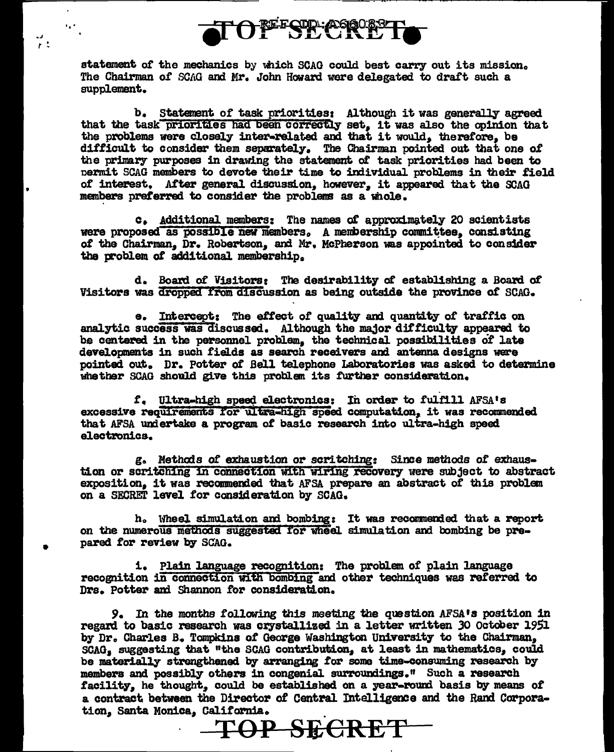

" . ·"' *<sup>r</sup>*<sup>~</sup>

•

•

statement of the mechanics by which SCAG could best carry out its mission. The Chairman *ot* SCAG and Mr. John Howard were delegated to dratt such a supplement.

b. Statement of task priorities: Although it was generally agreed that the task priorities had been correctly set, it was also the opinion that that the problems were closely inter-related and that it would, therefore, be the problems were closely inter-related and that it would, therefore, be difficult to consider them separately. The Chairman pointed out that one of the primary purposes in drawing the statement of task priorities had been to nemit SCAG members to devote their time to individual problems in their field of interest. After general discussion, however, it appeared that the SCAG members preferred to consider the problems as a whole.

c. Additional members: The names of approximately 20 scientists were proposed as possible new members, A membership committee, consisting of the Chairman, Dr. Robertson, and Mr. McPherson was appointed to consider the problem of additional membership.

d. Board of Visitorsr The desirability ot establishing a Boal'd *ot*  Visitors was dropped from discussion as being outside the province of SCAG.

a. Intercept: The etfect *ot* quality am quantity *ot* traffic on analytic success was discussed. Although the major difficulty appeared to be centered in the personnel problem, the technical possibilities of late developments in such fields as search receivers and antenna designs were pointed. out. Dr. Potter *ot* Bell telephone Laboratories was asked to determine whether SCAG should give this problem its further consideration.

f. Ultra-high speed electronics: In order to fulfill AFSA's excessive requirements for ultra-high speed computation, it was recommended that AFSA undertake a program of basic research into ultra-high speed electronics.

g. Methods *ot* exhaustion or scritching: Since methods *ot* exhaustion or scritching in connection with wiring recovery were subject to abstract exposition, it was recommended that AFSA prepare an abstract of this problem on a SECRET level for consideration by SCAG.

h. Wheel simulation and bombing: It was recommended that a report on the numerous methods suggested for wheel simulation and bombing be prepared for review by SCAG.

1. Plain language recognition: The problem of plain language recognition in connection with bombing and other techniques was referred to Drs. Potter and Shannon for consideration.

*9.* In the months following this meeting the question AFSA•s position 1n regard to basic research was crystallized in a letter written JO October 1951 by Dr. Charles B. Tompkins of George Washington University to the Chairman, SCAG, suggesting that "the SCAG contribution, at least in mathematics, could be materially strengthened by arranging for soma time-consuming research by members and possibly others in congenial surroundings." Such a research facility, he thought, could be established on a year-round basis by means of a contract between the Director of Central Intelligence and the Rand Corporation. Santa Monica. California.

**TOP SECRET**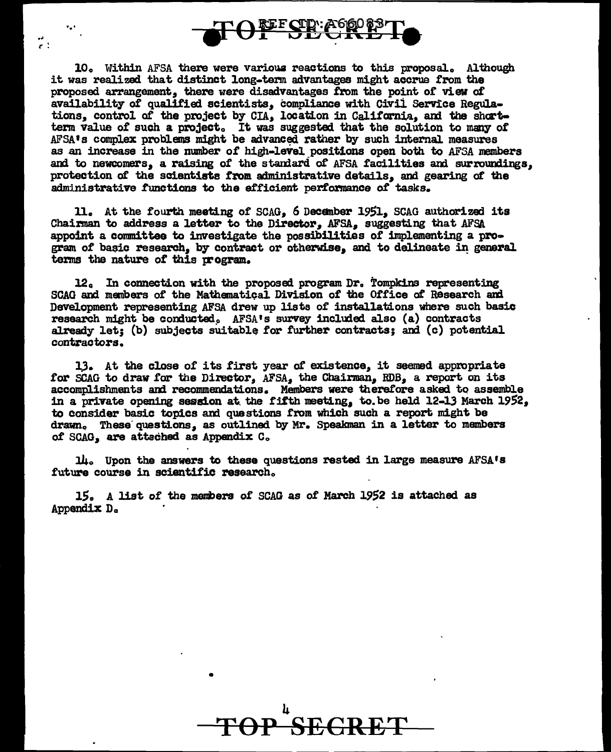

.. r : ...

10. Within AFSA there were various reactions to this proposal. Although it was realized that distinct long-term advantages might accrue from the proposed arrangement, there were disadvantages from the point of view of availability of qualified scientists, compliance with Civii Service Regulations, control of the project by CIA, location in California, ami the shortterm value of such a project. It was suggested that the solution to many of AFSA<sup>1</sup>s complex problems might be advanced rather by such internal measures as an increase in the number of high-level positions open both to AFSA members and to newcomers, a raising of the standard of AFSA facilities and surroundings. protection *ot* the scientists trom administrative details, and gearing *ot* the administrative functions to the efficient performance of tasks.

11. At the fourth meeting or SCAG, 6 Decenber 19Sl, SCAG authorized its Chairman to address a letter to the Director, AFSA, suggesting that AFSA appoint a committee to investigate the possibilities of implementing a program of basic research, by contract or otherwise, and to delineate in general terms the nature of this program.

12. In connection with the proposed program Dr. Tompkins representing SCAG and members of the MathematiQal Division *ot* the Office *ot* Research ard Development representing AFSA drew up lists of installations where such basic research might be conducted. AFSA's survey included also (a) contracts already let; (b) subjects suitable for further contracts; and (c) potential contractors.

l.). At the close 0£ its first year *ot* existence, it seemed appropriate for SCAG to draw for the Director, AFSA, the Chairman, RDB, a report on its accomplishments and recommendations. Members were therefore asked to assemble in a private opening session at the fifth meeting, to be held  $12-13$  March  $1952$ , to consider basic topics and questions from which such a report might be drawn. These questions, as outlined by Mr. Speakman in a letter to members of SCAG, are attached as Appendix C.

 $1\mu$ . Upon the answers to these questions rested in large measure AFSA's future course in scientific research.

15. A list of the members of SCAG as of March 1952 is attached as Appendix Da

•

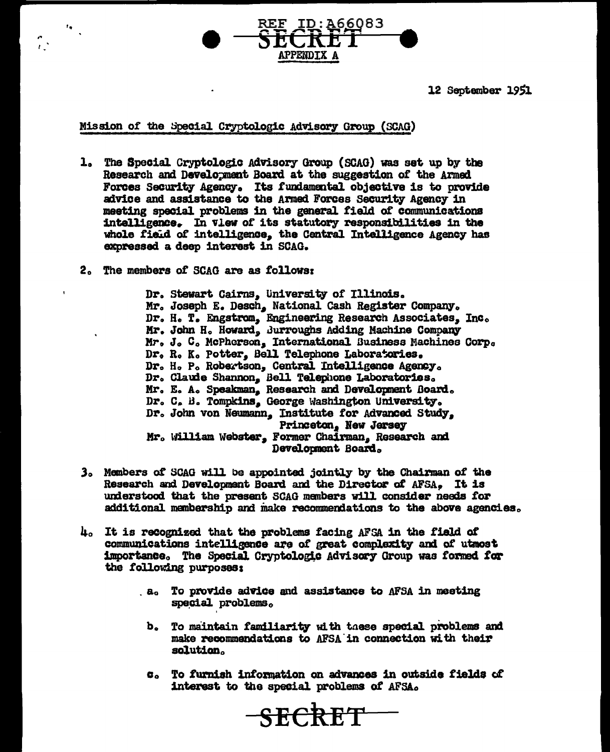ID: A66083 **APPENDTX A** 

12 September 1951

#### Mission of the Special Cryptologic Advisory Group (SCAG)

- 1. The Special Cryptologic Advisory Group (SCAG) was set up by the Research and Development Board at the suggestion of the Armed Forces Security Agency. Its fundamental objective is to provide advice and assistance to the Armed Forces Security Agency in meeting special problems in the general field of communications intelligence. In view of its statutory responsibilities in the whole field of intelligence, the Central Intelligence Agency has expressed a deep interest in SCAG.
- 2. The members of SCAG are as follows:

 $\mathbf{r}_\bullet$ 

Dr. Stewart Cairns, University of Illinois. Mr. Joseph E. Desch, National Cash Register Company. Dr. H. T. Engstrom, Engineering Research Associates. Inc. Mr. John H. Howard, Burroughs Adding Machine Company Mr. J. C. McPherson, International Business Machines Corp. Dr. R. K. Potter. Bell Telephone Laboratories. Dr. H. P. Robertson, Central Intelligence Agency. Dr. Claude Shannon. Bell Telephone Laboratories. Mr. E. A. Speakman, Research and Development Board. Dr. C. B. Tompkins, George Washington University. Dr. John von Neumann, Institute for Advanced Study. Princeton, New Jersey Mr. William Webster, Former Chairman, Research and Development Board.

- 3. Members of SCAG will be appointed jointly by the Chairman of the Research and Development Board and the Director of AFSA. It is understood that the present SCAG members will consider needs for additional membership and make recommendations to the above agencies.
- 4. It is recognized that the problems facing AFSA in the field of communications intelligence are of great complexity and of utmost importance. The Special Cryptologic Advisory Group was formed for the following purposes:
	- a. To provide advice and assistance to AFSA in meeting special problems.
		- b. To maintain familiarity with these special problems and make recommendations to AFSA in connection with their solution.
		- c. To furnish information on advances in outside fields of interest to the special problems of AFSA.

SECRET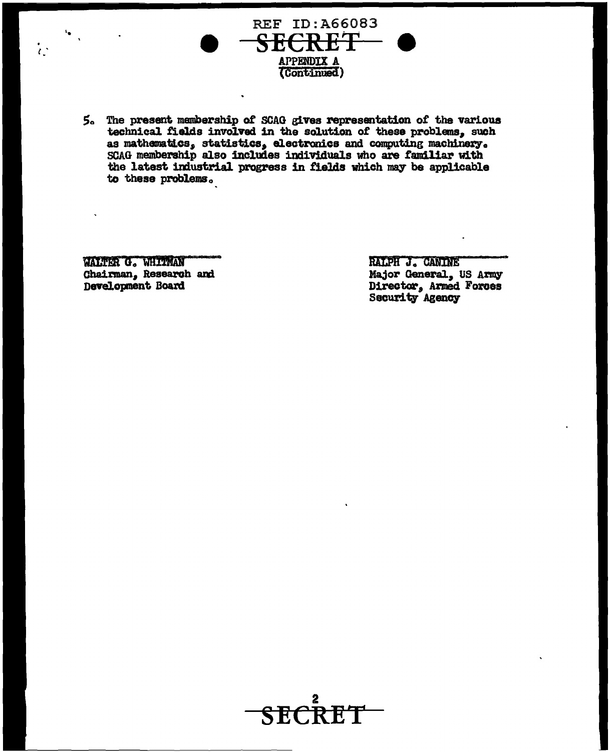

5. The present membership of SCAG gives representation of the various technical fields involved in the solution of these problems, such as mathematics, statistics, electronics and computing machinery. SCAG membership also includes individuals who are familiar with the latest industrial progress in fields which may be applicable to these problems.

WALTER G. WHITMAN Chairman, Research and Development Board

 $\frac{1}{k}$ 

RALPH J. CANINE Major General, US Army Director, Armed Forces Security Agency

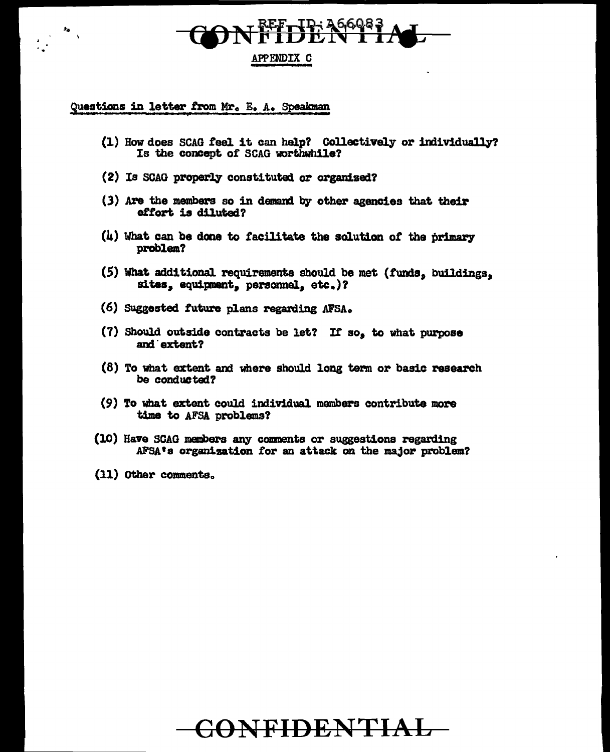# **TP: 26608**

#### APPENDIX C

#### Questions in letter from Mr. E. A. Speakman

- (1) How does SCAG feel it can help? Collectively or individually? Is the concept of SCAG worthwhile?
- (2) Is SCAG properly constituted or organized?
- (3) Are the members so in demand by other agencies that their effort is diluted?
- (4) What can be done to facilitate the solution of the primary problem?
- (5) What additional requirements should be met (funds, buildings, sites, equipment, personnel, etc.)?
- (6) Suggested future plans regarding AFSA.
- (7) Should outside contracts be let? If so, to what purpose and extent?
- (8) To what extent and where should long term or basic research be conducted?
- (9) To what extent could individual members contribute more time to AFSA problems?
- (10) Have SCAG members any comments or suggestions regarding AFSA's organization for an attack on the major problem?
- (11) Other comments.

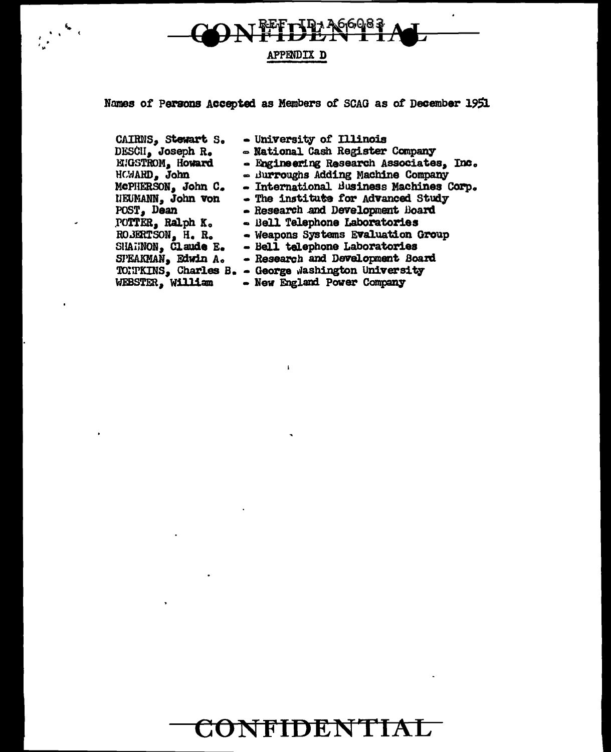

Names of Persons Accepted as Members of SCAG as of December 1951

 $\frac{1}{2}$ 

CAIRNS, Stewart S. - University of Illinois - National Cash Register Company DESCII, Joseph R. - Engineering Research Associates. Inc. EUGSTROM, Howard HCWARD, John - Burroughs Adding Machine Company - International Business Machines Corp. McPHERSON, John C. - The institute for Advanced Study NEUMANN, John von POST, Dean - Research and Development Board POTTER, Ralph K. - Bell Telephone Laboratories ROBERTSON, H. R. - Weapons Systems Evaluation Group - Bell telephone Laboratories SHARNON, Claude E. - Research and Development Board SPEAKMAN, Edwin A. TONTKINS, Charles B. - George Washington University WEBSTER, William - New England Power Company

 $\mathbf{r}$ 

## CONFIDENTIAL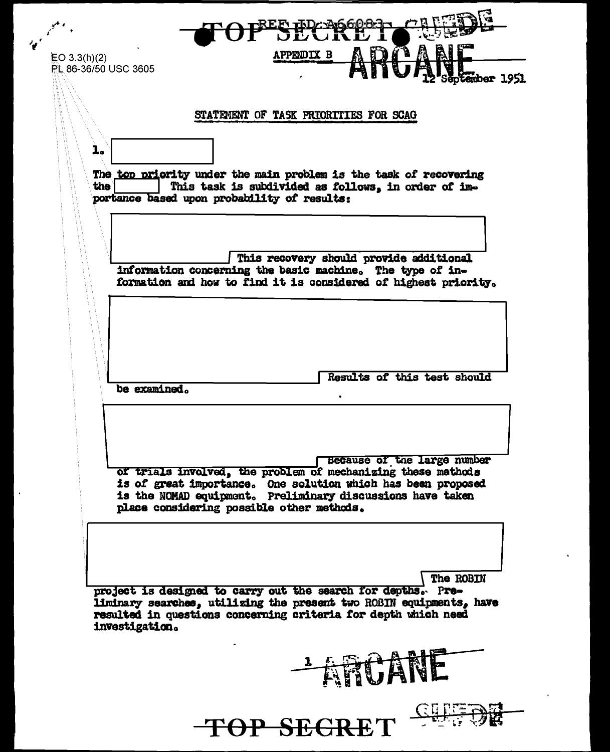OPESECRE **APPENDIX B**  $EO 3.3(h)(2)$ PL 86-36/50 USC 3605 mber 1951 STATEMENT OF TASK PRIORITIES FOR SCAG  $\mathbf{1}_{\bullet}$ The top priority under the main problem is the task of recovering This task is subdivided as follows, in order of imthe | portance based upon probability of results: This recovery should provide additional information concerning the basic machine. The type of information and how to find it is considered of highest priority. Results of this test should be examined. Because of the large number of trials involved, the problem of mechanizing these methods is of great importance. One solution which has been proposed is the NOMAD equipment. Preliminary discussions have taken place considering possible other methods. The ROBIN project is designed to carry out the search for depths. Preliminary searches, utilizing the present two ROBIN equipments, have resulted in questions concerning criteria for depth which need investigation. -ARCANE TOP SEGRET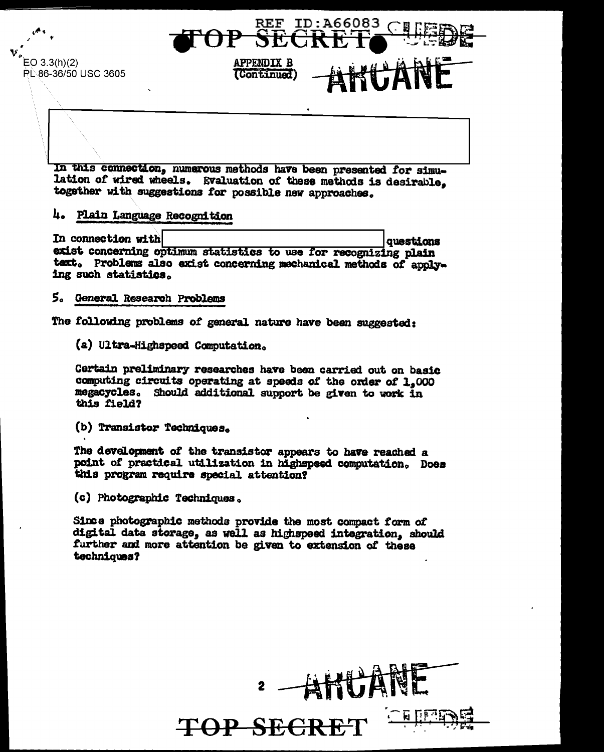

 $EO 3.3(h)(2)$ PL 86-36/50 USC 3605

> In this connection, numerous methods have been presented for simulation of wired wheels. Evaluation of these methods is desirable, together with suggestions for possible new approaches.

**APPENDIX B** 

(Continued)

#### 4. Plain Language Recognition

In connection with questions exist concerning optimum statistics to use for recognizing plain text. Problems also exist concerning mechanical methods of applying such statistics.

#### 5. General Research Problems

The following problems of general nature have been suggested:

(a) Ultra-Highspeed Computation.

Certain preliminary researches have been carried out on basic computing circuits operating at speeds of the order of 1,000 megacycles. Should additional support be given to work in this field?

(b) Transistor Techniques.

The development of the transistor appears to have reached a point of practical utilization in highspeed computation. Does this program require special attention?

(c) Photographic Techniques.

Since photographic methods provide the most compact form of digital data storage, as well as highspeed integration, should further and more attention be given to extension of these techniques?